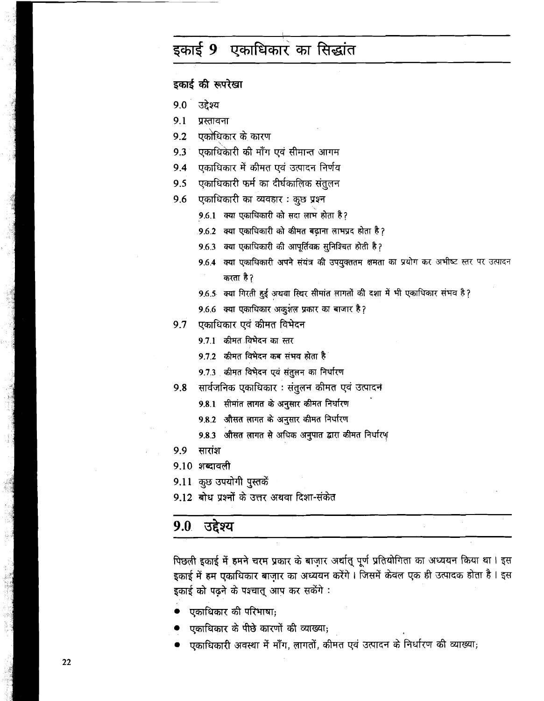# इकाई 9 एकाधिकार का सिद्धांत

इकाई की रूपरेखा

- $9.0^\circ$ उद्देश्य
- $9.1$ प्रस्तावना
- $9.2$ एकांधिकार के कारण
- एकाधिकारी की माँग एवं सीमान्त आगम  $9.3$
- 9.4 एकाधिकार में कीमत एवं उत्पादन निर्णय
- एकाधिकारी फर्म का दीर्घकालिक संतुलन  $9.5$
- एकाधिकारी का व्यवहार: कुछ प्रश्न 9.6
	- 9.6.1 क्या एकाधिकारी को सदा लाभ होता है?
	- 9.6.2 क्या एकाधिकारी को कीमत बढ़ाना लाभप्रद होता है ?
	- 9.6.3 क्या एकाधिकारी की आपूर्तिवक्र सुनिश्चित होती है?
	- 9.6.4 क्या एकाधिकारी अपने संयंत्र की उपयुक्ततम क्षमता का प्रयोग कर अभीष्ट स्तर पर उत्पादन करता है?
	- 9.6.5 क्या गिरती हुई अथवा स्थिर सीमांत लागतों की दशा में भी एकाधिकार संभव है?
	- 9.6.6 क्या एकाधिकार अकुशल प्रकार का बाजार है?
- 9.7 एकाधिकार एवं कीमत विभेदन
	- 9.7.1 कीमत विभेदन का स्तर
	- 9.7.2 कीमत विभेदन कब संभव होता है
	- 9.7.3 कीमत विभेदन एवं संतुलन का निर्धारण
- सार्वजनिक एकाधिकार : संतुलन कीमत एवं उत्पादन 9.8
	- 9.8.1 सीमांत लागत के अनुसार कीमत निर्धारण
	- 9.8.2 औसत लागत के अनुसार कीमत निर्धारण
	- 9.8.3 औसत लागत से अधिक अनुपात द्वारा कीमत निर्धारण
- 9.9 सारांश
- 9.10 शब्दावली
- 9.11 कुछ उपयोगी पुस्तकें
- 9.12 बोध प्रश्नों के उत्तर अथवा दिशा-संकेत

#### 9.0 उद्देश्य

पिछली इकाई में हमने चरम प्रकार के बाजार अर्थात् पूर्ण प्रतियोगिता का अध्ययन किया था। इस इकाई में हम एकाधिकार बाज़ार का अध्ययन करेंगे । जिसमें केवल एक ही उत्पादक होता है । इस इकाई को पढ़ने के पश्चात् आप कर सकेंगे :

- एकाधिकार की परिभाषा;
- एकाधिकार के पीछे कारणों की व्याख्या;
- एकाधिकारी अवस्था में माँग, लागतों, कीमत एवं उत्पादन के निर्धारण की व्याख्या;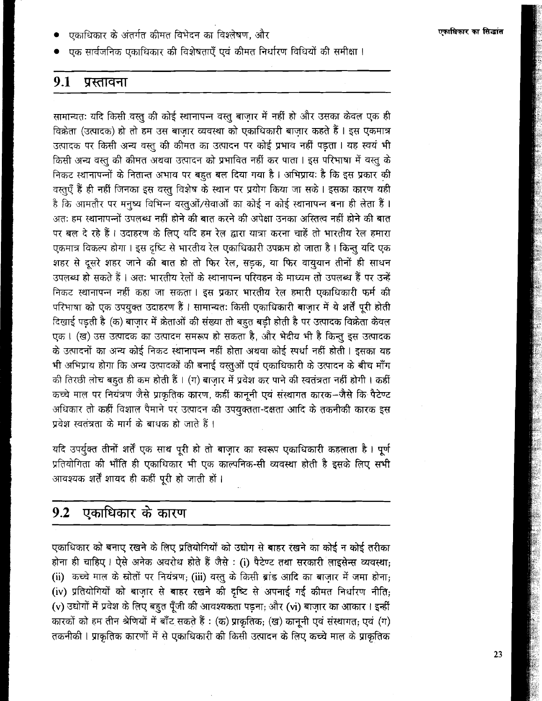- एकाधिकार के अंतर्गत कीमत विभेदन का विश्लेषण. और
- एक सार्वजनिक एकाधिकार की विशेषताएँ एवं कीमत निर्धारण विधियों की समीक्षा ।

#### $9.1$ प्रस्तावना

सामान्यतः यदि किसी वस्तु की कोई स्थानापन्न वस्तु बाज़ार में नहीं हो और उसका केवल एक ही विक्रेता (उत्पादक) हो तो हम उस बाजार व्यवस्था को एकाधिकारी बाजार कहते हैं। इस एकमात्र उत्पादक पर किसी अन्य वस्त की कीमत का उत्पादन पर कोई प्रभाव नहीं पडता। यह स्वयं भी किसी अन्य वस्तु की कीमत अथवा उत्पादन को प्रभावित नहीं कर पाता । इस परिभाषा में वस्तु के निकट स्थानापन्नों के नितान्त अभाव पर बहुत बल दिया गया है। अभिप्रायः है कि इस प्रकार की वस्तएँ हैं ही नहीं जिनका इस वस्तु विशेष के स्थान पर प्रयोग किया जा सके । इसका कारण यही है कि आमतौर पर मनष्य विभिन्न वस्तुओं/सेवाओं का कोई न कोई स्थानापन्न बना ही लेता हैं। अतः हम स्थानापन्नों उपलब्ध नहीं होने की बात करने की अपेक्षा उनका अस्तित्व नहीं होने की बात पर बल दे रहे हैं। उदाहरण के लिए यदि हम रेल द्वारा यात्रा करना चाहें तो भारतीय रेल हमारा एकमात्र विकल्प होगा । इस दृष्टि से भारतीय रेल एकाधिकारी उपक्रम हो जाता है । किन्तु यदि एक शहर से दूसरे शहर जाने की बात हो तो फिर रेल, सड़क, या फिर वायुयान तीनों ही साधन उपलब्ध हो सकते हैं । अत: भारतीय रेलों के स्थानापन्न परिवहन के माध्यम तो उपलब्ध हैं पर उन्हें निकट स्थानापन्न नहीं कहा जा सकता । इस प्रकार भारतीय रेल हमारी एकाधिकारी फर्म की परिभाषा को एक उपयुक्त उदाहरण हैं । सामान्यतः किसी एकाधिकारी बाजार में ये शर्तें परी होती दिखाई पड़ती है (क) बाजार में क्रेताओं की संख्या तो बहुत बड़ी होती है पर उत्पादक विक्रेता केवल एक। (ख) उस उत्पादक का उत्पादन समरूप हो सकता है, और भेदीय भी है किन्तु इस उत्पादक के उत्पादनों का अन्य कोई निकट स्थानापन्न नहीं होता अथवा कोई स्पर्धा नहीं होती । इसका यह भी अभिप्राय होगा कि अन्य उत्पादकों की बनाई वस्तुओं एवं एकाधिकारी के उत्पादन के बीच माँग की तिरछी लोच बहुत ही कम होती हैं । (ग) बाज़ार में प्रवेश कर पाने की स्वतंत्रता नहीं होगी । कहीं कच्चे माल पर नियंत्रण जैसे प्राकृतिक कारण, कहीं कानूनी एवं संस्थागत कारक-जैसे कि पैटेण्ट अधिकार तो कहीं विशाल पैमाने पर उत्पादन की उपयक्तता-दक्षता आदि के तकनीकी कारक इस प्रवेश स्वतंत्रता के मार्ग के बाधक हो जाते हैं।

यदि उपर्युक्त तीनों शर्तें एक साथ पूरी हो तो बाज़ार का स्वरूप एकाधिकारी कहलाता है। पूर्ण प्रतियोगिता की भाँति ही एकाधिकार भी एक काल्पनिक-सी व्यवस्था होती है इसके लिए सभी आवश्यक शर्तें शायद ही कहीं पूरी हो जाती हों।

#### एकाधिकार के कारण  $9.2$

एकाधिकार को बनाए रखने के लिए प्रतियोगियों को उद्योग से बाहर रखने का कोई न कोई तरीका होना ही चाहिए। ऐसे अनेक अवरोध होते हैं जैसे: (i) पैटेण्ट तथा सरकारी लाइसेन्स व्यवस्था: (ii) कच्चे माल के स्रोतों पर नियंत्रण; (iii) वस्तु के किसी ब्रांड आदि का बाजार में जमा होना; (iv) प्रतियोगियों को बाज़ार से बाहर रखने की दृष्टि से अपनाई गई कीमत निर्धारण नीति; (v) उद्योगों में प्रवेश के लिए बहुत पूँजी की आवश्यकता पड़ना; और (vi) बाज़ार का आकार। इन्हीं कारकों को हम तीन श्रेणियों में बाँट सकते हैं: (क) प्राकृतिक; (ख) कानूनी एवं संस्थागत; एवं (ग) तकनीकी । प्राकृतिक कारणों में से एकाधिकारी की किसी उत्पादन के लिए कच्चे माल के प्राकृतिक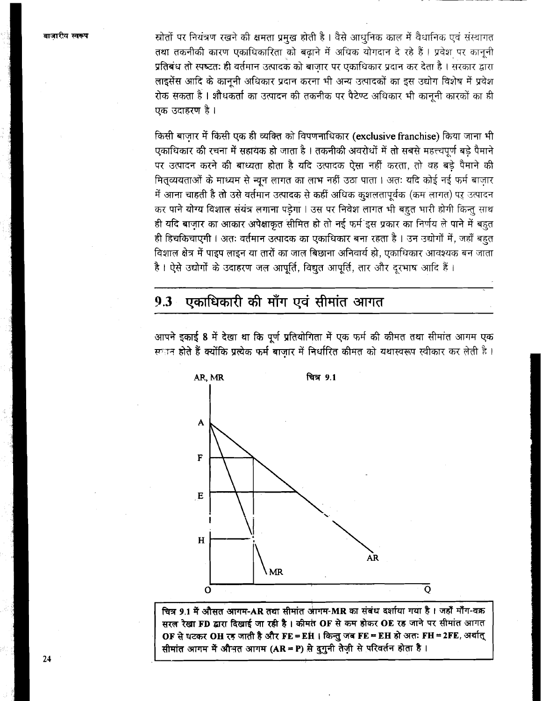स्रोतों पर नियंत्रण रखने की क्षमता प्रमुख होती है। वैसे आधुनिक काल में वैधानिक एवं संस्थागत तथा तकनीकी कारण एकाधिकारिता को बढाने में अधिक योगदान दे रहे हैं। प्रवेश पर कानूनी प्रतिबंध तो स्पष्टतः ही वर्तमान उत्पादक को बाजार पर एकाधिकार प्रदान कर देता है। सरकार द्वारा लाइसेंस आदि के कानूनी अधिकार प्रदान करना भी अन्य उत्पादकों का इस उद्योग विशेष में प्रवेश रोक सकता है । शौधकर्ता का उत्पादन की तकनीक पर पैटेण्ट अधिकार भी काननी कारकों का ही एक उदाहरण है ।

किसी बाजार में किसी एक ही व्यक्ति को विपणनाधिकार (exclusive franchise) किया जाना भी एकाधिकार की रचना में सहायक हो जाता है । तकनीकी अवरोधों में तो सबसे महत्त्वपूर्ण बड़े पैमाने पर उत्पादन करने की बाध्यता होता है यदि उत्पादक ऐसा नहीं करता, तो वह बड़े पैमाने की मितव्ययताओं के माध्यम से न्यून लागत का लाभ नहीं उठा पाता। अतः यदि कोई नई फर्म बाजार में आना चाहती है तो उसे वर्तमान उत्पादक से कहीं अधिक कुशलतापूर्वक (कम लागत) पर उत्पादन कर पाने योग्य विशाल संयंत्र लगाना पड़ेगा । उस पर निवेश लागत भी बहुत भारी होगी किन्तु साथ ही यदि बाज़ार का आकार अपेक्षाकृत सीमित हो तो नई फर्म`इस प्रकार का निर्णय ले पाने में बहुत ही हिचकिचाएगी। अतः वर्तमान उत्पादक का एकाधिकार बना रहता है। उन उद्योगों में, जहाँ बहुत विशाल क्षेत्र में पाइप लाइन या तारों का जाल बिछाना अनिवार्य हो, एकाधिकार आवश्यक बन जाता है। ऐसे उद्योगों के उदाहरण जल आपूर्ति, विद्युत आपूर्ति, तार और दूरभाष आदि हैं।

#### एकाधिकारी की माँग एवं सीमांत आगत  $9.3$



आपने इकाई 8 में देखा था कि पूर्ण प्रतियोगिता में एक फर्म की कीमत तथा सीमांत आगम एक स्प्तान होते हैं क्योंकि प्रत्येक फर्म बाजार में निर्धारित कीमत को यथास्वरूप स्वीकार कर लेती है।

चित्र 9.1 में औसत आगम-AR तथा सीमांत आगम-MR का संबंध दर्शाया गया है। जहाँ माँग-वक्र सरल रेखा FD द्वारा दिखाई जा रही है। कीमत OF से कम होकर OE रह जाने पर सीमांत आगत OF से घटकर OH रह जाती है और FE = EH | किन्तु जब FE = EH हो अतः FH = 2FE, अर्थात् सीमांत आगम में औभत आगम (AR = P) से दुगुनी तेज़ी से परिवर्तन होता है।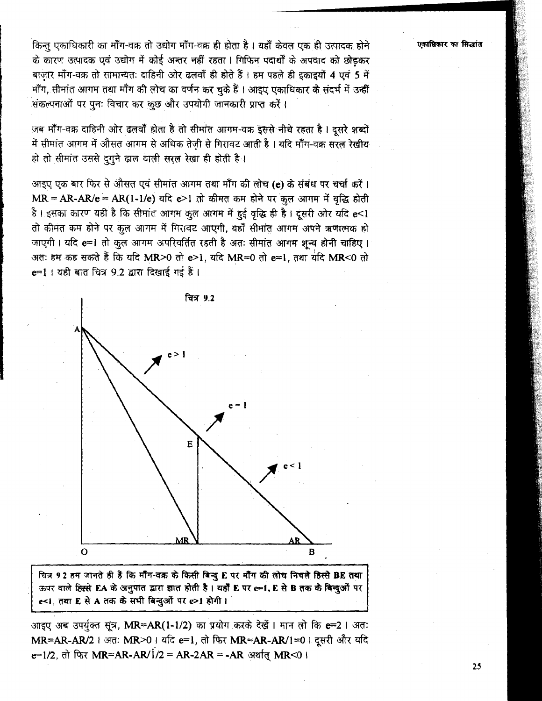किन्तू एकाधिकारी का माँग-वक्र तो उद्योग माँग-वक्र ही होता है। यहाँ केवल एक ही उत्पादक होने के कारण उत्पादक एवं उद्योग में कोई अन्तर नहीं रहता। गिफिन पदार्थों के अपवाद को छोड़कर बाजार माँग-वक्र तो सामान्यतः दाहिनी ओर ढलवाँ ही होते हैं। हम पहले ही इकाइयों 4 एवं 5 में माँग, सीमांत आगम तथा माँग की लोच का वर्णन कर चुके हैं । आइए एकाधिकार के संदर्भ में उन्हीं संकल्पनाओं पर पनः विचार कर कुछ और उपयोगी जानकारी प्राप्त करें।

जब माँग-वक्र दाहिनी ओर ढलवाँ होता है तो सीमांत आगम-वक्र इससे नीचे रहता है। दूसरे शब्दों में सीमांत आगम में औसत आगम से अधिक तेजी से गिरावट आती है। यदि मॉॅंग-वक्र सरल रेखीय हो तो सीमांत उससे दुगुने ढाल वाली सरल रेखा ही होती है।

आइए एक बार फिर से औसत एवं सीमांत आगम तथा माँग की लोच (e) के संबंध पर चर्चा करें। MR = AR-AR/e = AR(1-1/e) यदि e>1 तो कीमत कम होने पर कृत आगम में वृद्धि होती है। इसका कारण यही है कि सीमांत आगम कुल आगम में हुई वृद्धि ही है। दूसरी ओर यदि e<1 तो कीमत कम होने पर कूल आगम में गिरावट आएगी, यहाँ सीमांत आगम अपने ऋणात्मक हो जाएगी। यदि e=1 तो कुल आगम अपरिवर्तित रहती है अतः सीमांत आगम शून्य होनी चाहिए। अतः हम कह सकते हैं कि यदि MR>0 तो e>1, यदि MR=0 तो e=1, तथा यदि MR<0 तो e=1 । यही बात चित्र 9.2 द्वारा दिखाई गई हैं।



चित्र 92 हम जानते ही हैं कि मॉॅंग-वक्र के किसी बिन्दु E पर मॉॅंग की लोच निचले हिस्से BE तथा ऊपर वाले हिस्से EA के अनुपात द्वारा ज्ञात होती है। यहाँ E पर c=1, E से B तक के बिन्दुओं पर e<1, तथा E से A तक के सभी बिन्दुओं पर e>1 होगी।

आइए अब उपर्युक्त सूत्र, MR=AR(1-1/2) का प्रयोग करके देखें । मान लो कि e=2 । अतः MR=AR-AR/2 । अतः MR>0 । यदि e=1, तो फिर MR=AR-AR/1=0। दूसरी और यदि e=1/2. तो फिर MR=AR-AR/1/2 = AR-2AR = -AR अर्थात MR<0 ।

एकाधिकार का सिद्धांत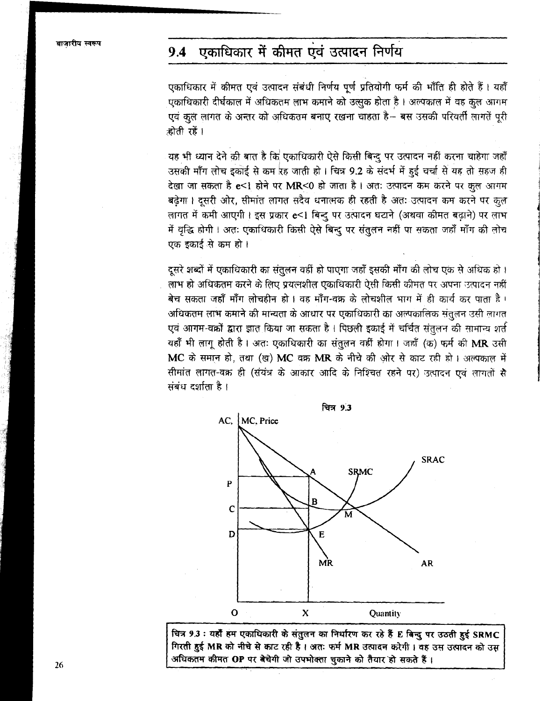#### एकाधिकार में कीमत एवं उत्पादन निर्णय  $9.4$

एकाधिकार में कीमत एवं उत्पादन संबंधी निर्णय पूर्ण प्रतियोगी फर्म की भाँति ही होते हैं। यहाँ एकाधिकारी दीर्घकाल में अधिकतम लाभ कमाने को उत्सुक होता है। अल्पकाल में वह कुल आगम एवं कुल लागत के अन्तर को अधिकतम बनाए रखना चाहता है- बस उसकी परिवर्ती लागतें पूरी होती रहें ।

यह भी ध्यान देने की बात है कि एकाधिकारी ऐसे किसी बिन्दु पर उत्पादन नहीं करना चाहेगा जहाँ उसकी माँग लोच इकोई से कम रह जाती हो। चित्र 9.2 के संदर्भ में हुई चर्चा से यह तो सहज ही देखा जा सकता है e<1 होने पर MR<0 हो जाता है। अतः उत्पादन कम करने पर कुल आगम बढेगा। दसरी ओर, सीमांत लागत सदैव धनात्मक ही रहती है अतः उत्पादन कम करने पर कुल लागत में कमी आएगी। इस प्रकार e<1 बिन्दु पर उत्पादन घटाने (अथवा कीमत बढ़ाने) पर लाभ में वृद्धि होगी। अतः एकाधिकारी किसी ऐसे बिन्दु पर संतुलन नहीं पा सकता जहाँ माँग की लोच एक इकाई से कम हो।

दूसरे शब्दों में एकाधिकारी का संतुलन वहीं हो पाएगा जहाँ इसकी माँग की लोच एक से अधिक हो। लाभ हो अधिकतम करने के लिए प्रयत्नशील एकाधिकारी ऐसी किसी कीमत पर अपना उत्पादन नहीं बेच सकता जहाँ माँग लोचहीन हो। वह माँग-वक्र के लोचशील भाग में ही कार्य कर पाता है। अधिकतम लाभ कमाने की मान्यता के आधार पर एकाधिकारी का अल्पकालिक संतुलन उसी लागत एवं आगम-वक्रों द्वारा ज्ञात किया जा सकता है। पिछली इकाई में चर्चित संतुलन की सामान्य शर्त यहाँ भी लागू होती है। अतः एकाधिकारी का संतुलन वहीं होगा। जहाँ (क) फर्म की MR उसी MC के समान हो, तथा (ख) MC वक्र MR के नीचे की ओर से काट रही हो। अल्पकाल में सीमांत लागत-वक्र ही (संयंत्र के आकार आदि के निश्चित रहने पर) उत्पादन एवं लागतों सै संबंध दर्शाता है।



चित्र 9.3 : यहाँ हम एकाधिकारी के संतुलन का निर्धारण कर रहे हैं E बिन्दु पर उठती हुई SRMC गिरती हुई MR को नीचे से काट रही है। अतः फर्म MR उत्पादन करेगी। वह उस उत्पादन को उस अधिकतम कीमत OP पर बेचेगी जो उपभोक्ता चुकाने को तैयार हो सकते हैं।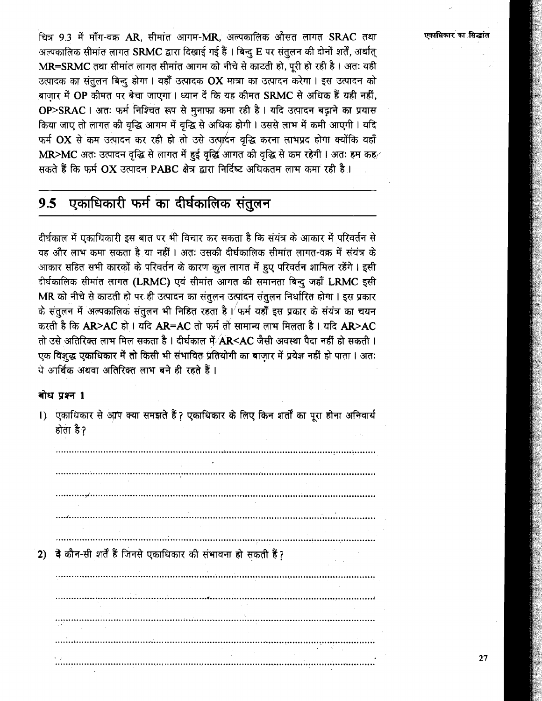चित्र 9.3 में माँग-वक्र AR, सीमांत आगम-MR, अल्पकालिक औसत लागत SRAC तथा अल्पकालिक सीमांत लागत SRMC द्वारा दिखाई गई हैं । बिन्दु E पर संतुलन की दोनों शर्तें, अर्थात् MR=SRMC तथा सीमांत लागत सीमांत आगम को नीचे से काटती हो, पूरी हो रही है। अतः यही उत्पादक का संतुलन बिन्दु होगा। यहाँ उत्पादक OX मात्रा का उत्पादन करेगा। इस उत्पादन को .<br>बाजार में OP कीमत पर बेचा जाएगा । ध्यान दें कि यह कीमत SRMC से अधिक हैं यही नहीं, OP>SRAC | अतः फर्म निश्चित रूप से मुनाफा कमा रही है | यदि उत्पादन बढ़ाने का प्रयास किया जाए तो लागत की वृद्धि आगम में वृद्धि से अधिक होगी। उससे लाभ में कमी आएगी। यदि फर्म OX से कम उत्पादन कर रही हो तो उसे उत्पादन वृद्धि करना लाभप्रद होगा क्योंकि वहाँ MR>MC अतः उत्पादन वृद्धि से लागत में हुई वृद्धि आगत की वृद्धि से कम रहेगी। अतः हम कह सकते हैं कि फर्म  $OX$  उत्पादन PABC क्षेत्र द्वारा निर्दिष्ट अधिकतम लाभ कमा रही है।

#### एकाधिकारी फर्म का दीर्घकालिक संतुलन  $9.5$

दीर्घकाल में एकाधिकारी इस बात पर भी विचार कर सकता है कि संयंत्र के आकार में परिवर्तन से वह और लाभ कमा सकता है या नहीं । अतः उसकी दीर्घकालिक सीमांत लागत-वक्र में संयंत्र के आकार सहित सभी कारकों के परिवर्तन के कारण कूल लागत में हुए परिवर्तन शामिल रहेंगे। इसी दीर्घकालिक सीमांत लागत (LRMC) एवं सीमांत आगत की समानता बिन्दु जहाँ LRMC इसी MR को नीचे से काटती हो पर ही उत्पादन का संतुलन उत्पादन संतुलन निर्धारित होगा। इस प्रकार के संतुलन में अल्पकालिक संतुलन भी निहित रहता है। फर्म यहाँ इस प्रकार के संयंत्र का चयन करती है कि AR>AC हो। यदि AR=AC तो फर्म तो सामान्य लाभ मिलता है। यदि AR>AC तो उसे अतिरिक्त लाभ मिल सकता है । दीर्घकाल में AR<AC जैसी अवस्था पैदा नहीं हो सकती । एक विशुद्ध एकाधिकार में तो किसी भी संभावित प्रतियोगी का बाजार में प्रवेश नहीं हो पाता । अतः ये आर्थिक अथवा अतिरिक्त लाभ बने ही रहते हैं।

### बोध प्रश्न 1

1) एकाधिकार से आप क्या समझते हैं ? एकाधिकार के लिए किन शर्तों का पूरा होना अनिवार्य होता है? 

2) वे कौन-सी शर्तें हैं जिनसे एकाधिकार की संभावना हो सकती हैं?

### एकाधिकार का सिद्धांत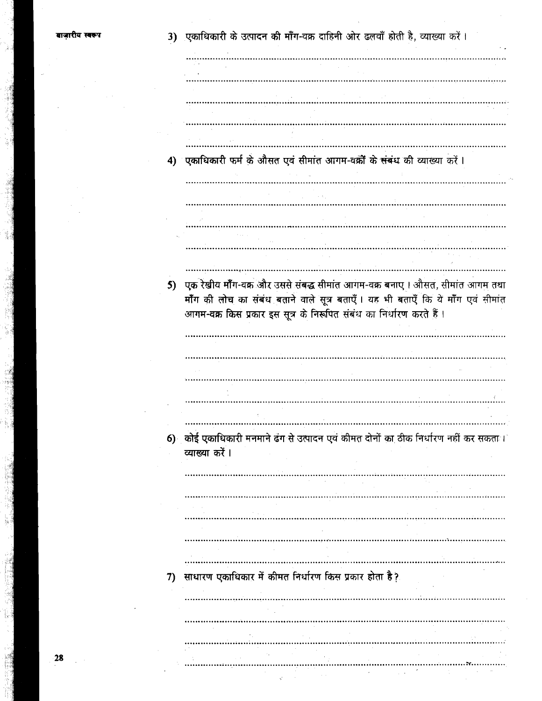गरीय स्वरूप

| 3)   एकाधिकारी के उत्पादन की माँग-वक्र दाहिनी ओर ढलवाँ होती है, व्याख्या करें । |  |  |  |  |  |  |  |
|---------------------------------------------------------------------------------|--|--|--|--|--|--|--|
|                                                                                 |  |  |  |  |  |  |  |

4) एकाधिकारी फर्म के औसत एवं सीमांत आगम-वक्रों के संबंध की व्याख्या करें।

5) एक रेखीय मॉॅंग-वक्र और उससे संबद्ध सीमांत आगम-वक्र बनाए। औसत, सीमांत आगम तथा माँग की लोच का संबंध बताने वाले सूत्र बताएँ। यह भी बताएँ कि ये माँग एवं सीमांत आगम-वक्र किस प्रकार इस सूत्र के निरूपित संबंध का निर्धारण करते हैं।

6) कोई एकाधिकारी मनमाने ढंग से उत्पादन एवं कीमत दोनों का ठीक निर्धारण नहीं कर सकता। व्याख्या करें।

7) साधारण एकाधिकार में कीमत निर्धारण किस प्रकार होता है?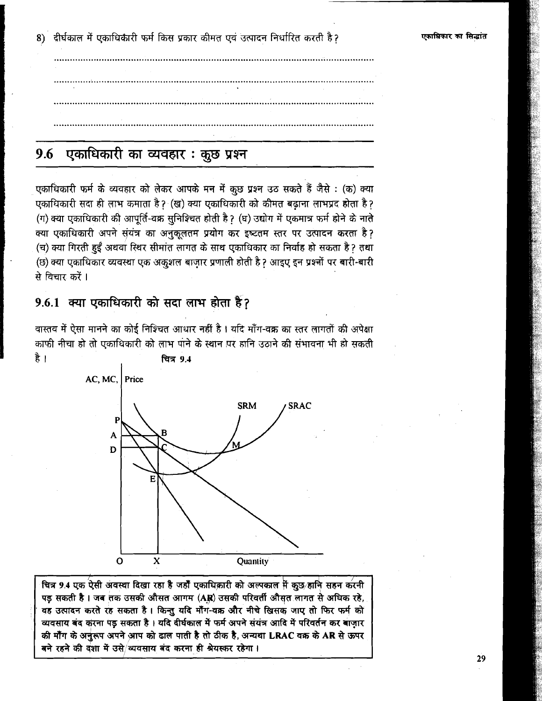8) दीर्घकाल में एकाधिकारी फर्म किस प्रकार कीमत एवं उत्पादन निर्धारित करती है?

### एकाधिकारी का व्यवहार: कुछ प्रश्न 9.6

एकाधिकारी फर्म के व्यवहार को लेकर आपके मन में कुछ प्रश्न उठ सकते हैं जैसे : (क) क्या एकाधिकारी सदा ही लाभ कमाता है ? (ख) क्या एकाधिकारी को कीमत बढाना लाभप्रद होता है ? (ग) क्या एकाधिकारी की आपूर्ति-वक्र सुनिश्चित होती है? (घ) उद्योग में एकमात्र फर्म होने के नाते क्या एकाधिकारी अपने संयंत्र का अनुकूलतम प्रयोग कर इष्टतम स्तर पर उत्पादन करता है? (च) क्या गिरती हुईं अथवा स्थिर सीमांत लागत के साथ एकाधिकार का निर्वाह हो सकता है ? तथा (छ) क्या एकाधिकार व्यवस्था एक अकुशल बाजार प्रणाली होती है ? आइए इन प्रश्नों पर बारी-बारी से विचार करें ।

## 9.6.1 क्या एकाधिकारी को सदा लाभ होता है?

वास्तव में ऐसा मानने का कोई निश्चित आधार नहीं है । यदि माँग-वक्र का स्तर लागतों की अपेक्षा काफी नीचा हो तो एकाधिकारी को लाभ पाने के स्थान पर हानि उठाने की संभावना भी हो सकती है । <u>चित्र 9.4</u>  $AC$ . MC. Price



चित्र 9.4 एक ऐसी अवस्था दिखा रहा है जहाँ एकाधिकारी को अल्पकाल में कुछ हानि सहन करनी पड़ सकती है। जब तक उसकी औसत आगम (AR) उसकी परिवर्ती औसत लागत से अधिक रहे, वह उत्पादन करते रह सकता है। किन्तु यदि माँग-वक्र और नीचे खिसक जाए तो फिर फर्म को व्यवसाय बंद करना पड़ सकता है। यदि दीर्घकाल में फर्म अपने संयंत्र आदि में परिवर्तन कर बाज़ार की माँग के अनुरूप अपने आप को ढाल पाती है तो ठीक है, अन्यथा LRAC वक्र के AR से ऊपर बने रहने की दशा में उसे/व्यवसाय बंद करना ही श्रेयस्कर रहेगा।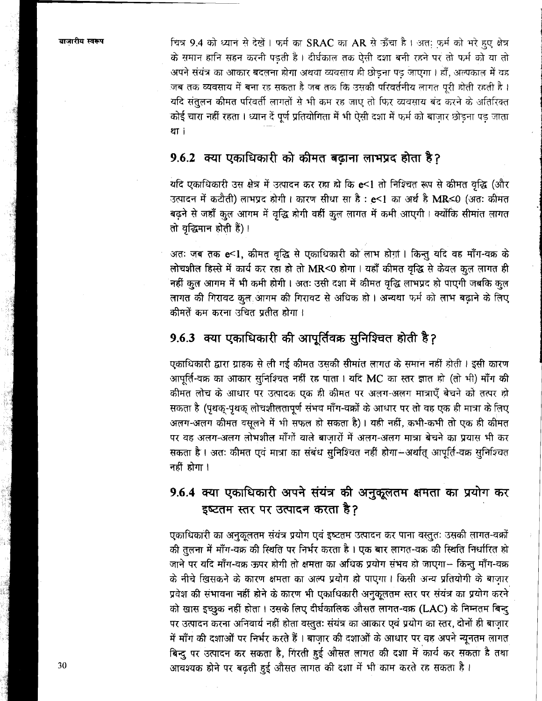चित्र 9.4 को ध्यान से देखें। फर्म का SRAC का AR से ऊँचा है। अत: फर्म को भरे हुए क्षेत्र के समान हानि सहन करनी पड़ती है। दीर्घकाल तक ऐसी दशा बनी रहने पर तो फर्म को या तो अपने संयंत्र का आकार बदलना होगा अथवा व्यवसाय ही छोडना पड़ जाएगा । हाँ, अल्पकाल में वह जब तक व्यवसाय में बना रह सकता है जब तक कि उसकी परिवर्तनीय लागत पुरी होती रहती है । यदि संतुलन कीमत परिवर्ती लागतों से भी कम रह जाए तो फिर व्यवसाय बंद करने के अतिरिक्त कोई चारा नहीं रहता। ध्यान दें पूर्ण प्रतियोगिता में भी ऐसी दशा में फर्म को बाजार छोड़ना पड़ जाता er i

### 9.6.2 क्या एकाधिकारी को कीमत बढ़ाना लाभप्रद होता है?

यदि एकाधिकारी उस क्षेत्र में उत्पादन कर रहा हो कि e<1 तो निश्चित रूप से कीमत वृद्धि (और उत्पादन में कटौती) लाभप्रद होगी। कारण सीधा सा है: e<1 का अर्थ है MR<0 (अतः कीमत बढ़ने से जहाँ कुल आगम में वृद्धि होगी वहीं कुल लागत में कमी आएगी। क्योंकि सीमांत लागत तो वृद्धिमान होती हैं)।

अतः जब तक e<1, कीमत वृद्धि से एकाधिकारी को लाभ होग़ां। किन्तु यदि वह माँग-वक्र के लोचशील हिस्से में कार्य कर रहा हो तो MR<0 होगा । यहाँ कीमत वृद्धि से केवल कुल लागत ही नहीं कुल आगम में भी कमी होगी। अतः उसी दशा में कीमत वृद्धि लाभप्रद हो पाएगी जबकि कुल लागत की गिरावट कुल आगम की गिरावट से अधिक हो। अन्यथा फर्म को लाभ बढ़ाने के लिए कीमतें कम करना उचित प्रतीत होगा।

## 9.6.3 क्या एकाधिकारी की आपूर्तिवक्र सुनिश्चित होती है?

एकाधिकारी द्वारा ग्राहक से ली गई कीमत उसकी सीमांत लागत के समान नहीं होती। इसी कारण आपूर्ति-वक्र का आकार सुनिश्चित नहीं रह पाता । यदि MC का स्तर ज्ञात हो (तो भी) माँग की कीमत लोच के आधार पर उत्पादक एक ही कीमत पर अलग-अलग मात्राएँ बेचने को तत्पर हो सकता है (पृथक्-पृथक् लोचशीलतापूर्ण संभव माँग-वक्रों के आधार पर तो वह एक ही मात्रा के लिए अलग-अलग कीमत वसूलने में भी सफल हो सकता है)। यही नहीं, कभी-कभी तो एक ही कीमत पर वह अलग-अलग लोभशील माँगों वाले बाजारों में अलग-अलग मात्रा बेचने का प्रयास भी कर सकता है। अतः कीमत एवं मात्रा का संबंध सुनिश्चित नहीं होगा--अर्थात् आपूर्ति-वक्र सुनिश्चित नहीं होगा।

# 9.6.4 क्या एकाधिकारी अपने संयंत्र की अनुकूलतम क्षमता का प्रयोग कर इष्टतम स्तर पर उत्पादन करता है?

एकाधिकारी का अनुकूलतम संयंत्र प्रयोग एवं इष्टतम उत्पादन कर पाना वस्तुतः उसकी लागत-वक्रों की तुलना में माँग-वक्र की स्थिति पर निर्भर करता है। एक बार लागत-वक्र की स्थिति निर्धारित हो जाने पर यदि माँग-वक्र ऊपर होगी तो क्षमता का अधिक प्रयोग संभव हो जाएगा- किन्तु माँग-वक्र के नीचे खिसकने के कारण क्षमता का अल्प प्रयोग हो पाएगा। किसी अन्य प्रतियोगी के बाज़ार प्रवेश की संभावना नहीं होने के कारण भी एकाधिकारी अनुकूलतम स्तर पर संयंत्र का प्रयोग करने को खास इच्छुक नहीं होता। उसके लिए दीर्घकालिक औसत लागत-वक्र (LAC) के निम्नतम बिन्दू पर उत्पादन करना अनिवार्य नहीं होता वस्तुतः संयंत्र का आकार एवं प्रयोग का स्तर, दोनों ही बाज़ार में माँग की दशाओं पर निर्भर करते हैं। बाज़ार की दशाओं के आधार पर वह अपने न्यूनतम लागत बिन्दु पर उत्पादन कर सकता है, गिरती हुई औसत लागत की दशा में कार्य कर सकता है तथा आवश्यक होने पर बढ़ती हुई औसत लागत की दशा में भी काम करते रह सकता है।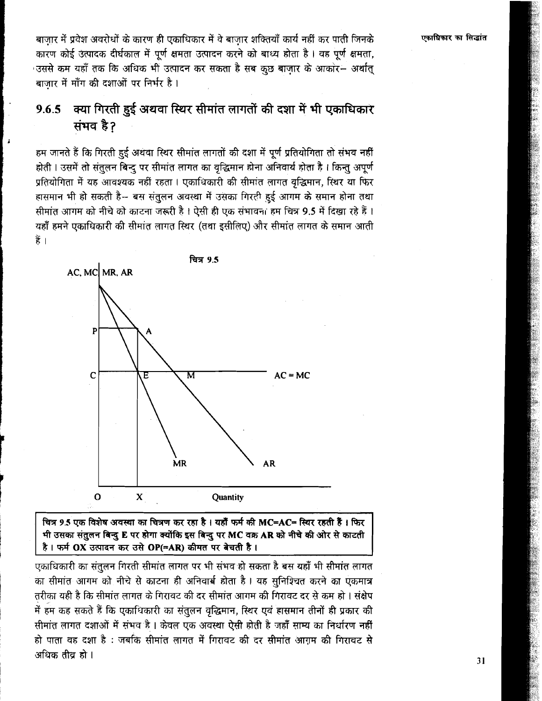एकाधिकार का सिद्धांत

बाजार में प्रवेश अवरोधों के कारण ही एकाधिकार में वे बाजार शक्तियाँ कार्य नहीं कर पाती जिनके कारण कोई उत्पादक दीर्घकाल में पूर्ण क्षमता उत्पादन करने को बाध्य होता है। वह पूर्ण क्षमता, उससे कम यहाँ तक कि अधिक भी उत्पादन कर सकता है सब कुछ बाजार के आकोर– अर्थात् बाजार में माँग की दशाओं पर निर्भर है।

### क्या गिरती हुई अथवा स्थिर सीमांत लागतों की दशा में भी एकाधिकार 9.6.5 संभव है?

हम जानते हैं कि गिरती हुई अथवा स्थिर सीमांत लागतों की दशा में पूर्ण प्रतियोगिता तो संभव नहीं होती । उसमें तो संतुलन बिन्दु पर सीमांत लागत का वृद्धिमान होना अनिवार्य होता है । किन्तु अपूर्ण प्रतियोगिता में यह आवश्यक नहीं रहता । एकाधिकारी की सीमांत लागत वद्धिमान, स्थिर या फिर हासमान भी हो सकती है-- बस संतुलन अवस्था में उसका गिरही हुई आगम के समान होना तथा सीमांत आगम को नीचे को काटना जरूरी है। ऐसी ही एक संभावना हम चित्र 9.5 में दिखा रहे हैं। यहाँ हमने एकाधिकारी की सीमांत लागत स्थिर (तथा इसीलिए) और सीमांत लागत के समान आती हैं ।



चित्र 9.5 एक विशेष अवस्था का चित्रण कर रहा है । यहाँ फर्म की MC=AC= स्थिर रहती हैं । फिर भी उसका संतुलन बिन्दु E पर होगा क्योंकि इस बिन्दु पर MC वक्र AR को नीचे की ओर से काटती है। फर्म OX उत्पादन कर उसे OP(=AR) कीमत पर बेचती है।

एकाधिकारी का संतुलन गिरती सीमांत लागत पर भी संभव हो सकता है बस यहाँ भी सीमांत लागत का सीमांत आगम को नीचे से काटना ही अनिवार्ब होता है। यह सुनिश्चित करने का एकमात्र तरीका यही है कि सीमांत लागत के गिरावट की दर सीमांत आगम की गिरावट दर से कम हो । संक्षेप में हम कह सकते हैं कि एकाधिकारी का संतुलन वृद्धिमान, स्थिर एवं हासमान तीनों ही प्रकार की सीमांत लागत दशाओं में संभव है। केवल एक अवस्था ऐसी होती है जहाँ साम्य का निर्धारण नहीं हो पाता वह दशा है : जबकि सीमांत लागत में गिरावट की दर सीमांत आग़म की गिरावट से अधिक तीव हो ।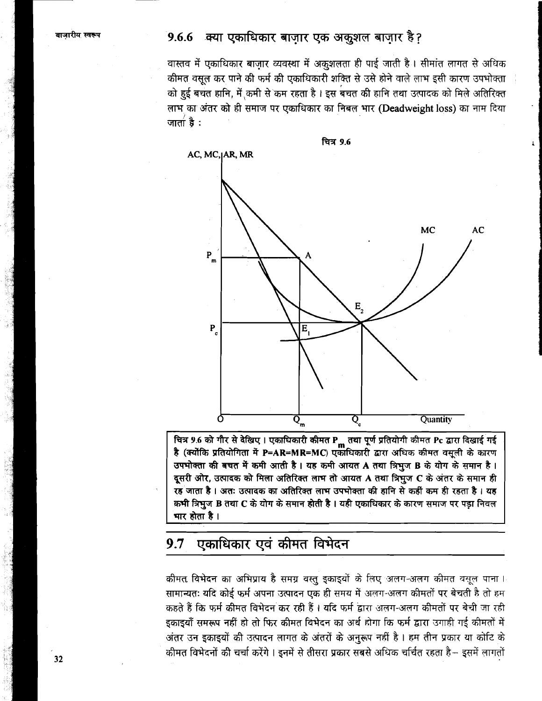## 9.6.6 क्या एकाधिकार बाजार एक अकुशल बाजार है?

वास्तव में एकाधिकार बाज़ार व्यवस्था में अकुशलता ही पाई जाती है। सीमांत लागत से अधिक कीमत वसूल कर पाने की फर्म की एकाधिकारी शक्ति से उसे होने वाले लाभ इसी कारण उपभोक्ता को हुई बचत हानि, में कमी से कम रहता है। इस बचत की हानि तथा उत्पादक को मिले अतिरिक्त लाभ का अंतर को ही समाज पर एकाधिकार का निबल भार (Deadweight loss) का नाम दिया जाता है $:$ 



.<br>चित्र 9.6 को गौर से देखिए। एकाधिकारी कीमत P<sub>m</sub> तथा पूर्ण प्रतियोगी कीमत Pc द्वारा दिखाई गई<br>है (क्योंकि प्रतियोगिता में P=AR=MR=MC) एकाधिकारी द्वारा अधिक कीमत वसूली के कारण उपभोक्ता की बचत में कमी आती है। यह कमी आयत A तथा त्रिभुज B के योग के समान है। दूसरी ओर, उत्पादक को मिला अतिरिक्त लाभ तो आयत A तथा त्रिभुज C के अंतर के समान ही रह जाता है। अतः उत्पादक का अतिरिक्त लाभ उपभोक्ता की हानि से कहीं कम ही रहता है। यह कभी त्रिभुज B तथा C के योग के समान होती है। यही एकाधिकार के कारण समाज पर पड़ा निवल मार होता है।

#### एकाधिकार एवं कीमत विभेदन  $9.7$

कीमत विभेदन का अभिप्राय है समग्र वस्तु इकाइयों के लिए अलग-अलग कीमत वसूल पाना। सामान्यतः यदि कोई फर्म अपना उत्पादन एक ही समय में अलग-अलग कीमतों पर बेचती है तो हम कहते हैं कि फर्म कीमत विभेदन कर रही हैं। यदि फर्म द्वारा अलग-अलग कीमतों पर बेची जा रही इकाइयाँ समरूप नहीं हो तो फिर कीमत विभेदन का अर्थ होगा कि फर्म द्वारा उगाही गई कीमतों में अंतर उन इकाइयों की उत्पादन लागत के अंतरों के अनुरूप नहीं है। हम तीन प्रकार या कोटि के कीमत विभेदनों की चर्चा करेंगे। इनमें से तीसरा प्रकार सबसे अधिक चर्चित रहता है– इसमें लागतों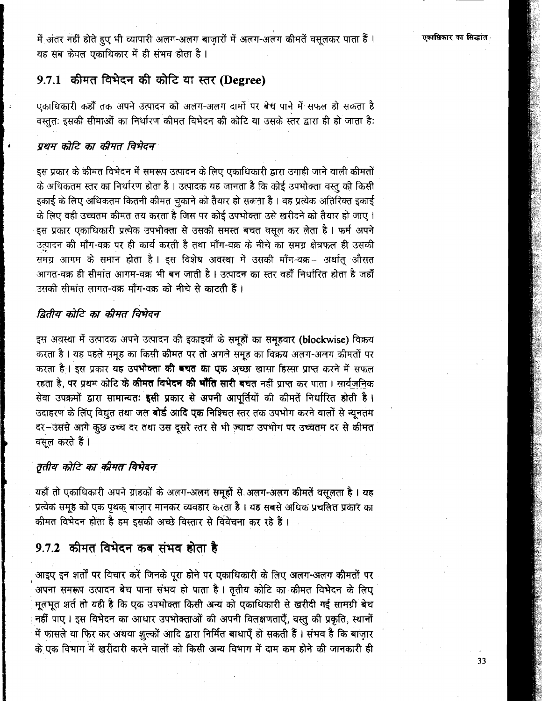में अंतर नहीं होते हुए भी व्यापारी अलग-अलग बाजारों में अलग-अलग कीमतें वसुलकर पाता हैं। यह सब केवल एकाधिकार में ही संभव होता है।

## 9.7.1 कीमत विभेदन की कोटि या स्तर (Degree)

एकाधिकारी कहाँ तक अपने उत्पादन को अलग-अलग दामों पर बेच पाने में सफल हो सकता है वस्ततः इसकी सीमाओं का निर्धारण कीमत विभेदन की कोटि या उसके स्तर द्वारा ही हो जाता है:

### प्रथम कोटि का कीमत विभेदन

इस प्रकार के कीमत विभेदन में समरूप उत्पादन के लिए एकाधिकारी द्वारा उगाही जाने वाली कीमतों के अधिकतम स्तर का निर्धारण होता है । उत्पादक यह जानता है कि कोई उपभोक्ता वस्तु की किसी इकाई के लिए अधिकतम कितनी कीमत चुकाने को तैयार हो सकता है । वह प्रत्येक अतिरिक्त इकाई के लिए वही उच्चतम कीमत तय करता है जिस पर कोई उपभोक्ता उसे खरीदने को तैयार हो जाए। इस प्रकार एकाधिकारी प्रत्येक उपभोक्ता से उसकी समस्त बचत वसुल कर लेता है। फर्म अपने उत्पादन की माँग-वक्र पर ही कार्य करती है तथा माँग-वक्र के नीचे का समग्र क्षेत्रफल ही उसकी समग्र आगम के समान होता है। इस विशेष अवस्था में उसकी माँग-वक्र- अर्थात् औसत आगत-वक्र ही सीमांत आगम-वक्र भी बन जाती है। उत्पादन का स्तर वहाँ निर्धारित होता है जहाँ उसकी सीमांत लागत-वक्र माँग-वक्र को नीचे से काटती हैं ।

### द्वितीय कोटि का कीमत विभेदन

इस अवस्था में उत्पादक अपने उत्पादन की इकाइयों के समूहों का समूहवार (blockwise) विक्रय करता है। यह पहले समूह का किसी कीमत पर तो अगले समूह का विक्रय अलग-अलग कीमतों पर करता है। इस प्रकार यह उपभोक्ता की बचत का एक अच्छा खासा हिस्सा प्राप्त करने में सफल रहता है, पर प्रथम कोटि के **कीमत विभेदन की भाँति सारी ब**चत नहीं प्राप्त कर पाता । सार्वजनिक सेवा उपक्रमों द्वारा सामान्यतः इसी प्रकार से अपनी आपूर्तियों की कीमतें निर्धारित होती है। उदाहरण के लिए विद्युत तथा जल **बोर्ड आदि एक निश्चित** स्तर तक उपभोग करने वालों से न्यूनतम दर-उससे आगे कुछ उच्च दर तथा उस दूसरे स्तर से भी ज़्यादा उपभोग पर उच्चतम दर से कीमत वसुल करते हैं।

### तृतीय कोटि का कीमत विभेदन

यहाँ तो एकाधिकारी अपने ग्राहकों के अलग-अलग समूहों से अलग-अलग कीमतें वसुलता है। यह प्रत्येक समूह को एक पृथक् बाज़ार मानकर व्यवहार करता है। यह सबसे अधिक प्रचलित प्रकार का कीमत विभेदन होता है हम इसकी अच्छे विस्तार से विवेचना कर रहे हैं।

## 9.7.2 कीमत विभेदन कब संभव होता है

आइए इन शर्तों पर विचार करें जिनके पूरा होने पर एकाधिकारी के लिए अलग-अलग कीमतों पर अपना समरूप उत्पादन बेच पाना संभव हो पाता है। तृतीय कोटि का कीमत विभेदन के लिए मूलभूत शर्त तो यही है कि एक उपभोक्ता किसी अन्य को एकाधिकारी से खरीदी गई सामग्री बेच नहीं पाए। इस विभेदन का आधार उपभोक्ताओं की अपनी विलक्षणताएँ, वस्तु की प्रकृति, स्थानों में फासले या फिर कर अथवा शुल्कों आदि द्वारा निर्मित बाधाएँ हो सकती हैं। संभव है कि बाजार के एक विभाग में खरीदारी करने वालों को किसी अन्य विभाग में दाम कम होने की जानकारी ही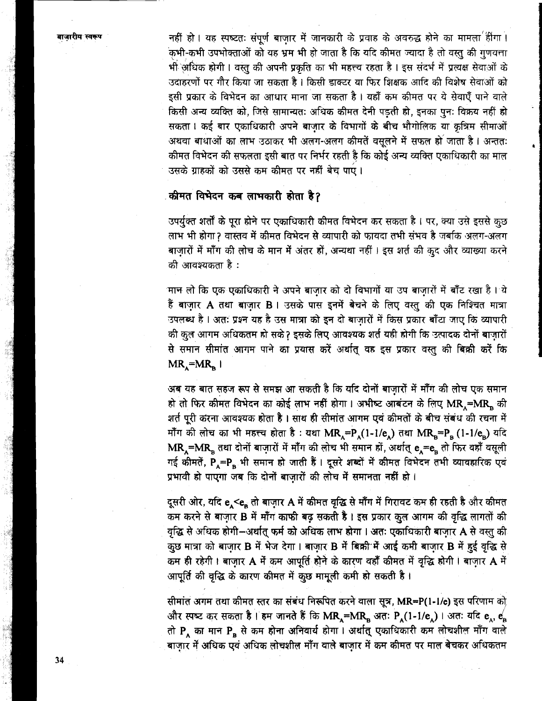नहीं हो। यह स्पष्टतः संपूर्ण बाजार में जानकारी के प्रवाह के अवरुद्ध होने का मामला हींगा। .<br>कभी-कभी उपभोक्ताओं को यह भ्रम भी हो जाता है कि यदि कीमत ज्यादा है तो वस्त की गणवत्ता भी अधिक होगी। वस्तु की अपनी प्रकृति का भी महत्त्व रहता है। इस संदर्भ में प्रत्यक्ष सेवाओं के उदाहरणों पर गौर किया जा सकता है। किसी डाक्टर या फिर शिक्षक आदि की विशेष सेवाओं को इसी प्रकार के विभेदन का आधार माना जा सकता है। यहाँ कम कीमत पर ये सेवाएँ पाने वाले किसी अन्य व्यक्ति को, जिसे सामान्यतः अधिक कीमत देनी पड़ती हो, इनका पुनः विक्रय नहीं हो सकता। कई बार एकाधिकारी अपने बाज़ार के विभागों के बीच भौगोलिक या कृत्रिम सीमाओं अथवा बाधाओं का लाभ उठाकर भी अलग-अलग कीमतें वसलने में सफल हो जाता है। अन्ततः कीमत विभेदन की सफलता इसी बात पर निर्भर रहती है कि कोई अन्य व्यक्ति एकाधिकारी का माल उसके ग्राहकों को उससे कम कीमत पर नहीं बेच पाएं।

### कीमत विभेदन कब लाभकारी होता है?

उपर्युक्त शर्तों के पूरा होने पर एकाधिकारी कीमत विभेदन कर सकता है। पर, क्या उसे इससे कुछ लाभ भी होगा? वास्तव में कीमत विभेदन से व्यापारी को फायदा तभी संभव है जबकि अलग-अलग बाज़ारों में माँग की लोच के मान में अंतर हों, अन्यथा नहीं । इस शर्त की कूद और व्याख्या करने की आवश्यकता है :

मान लो कि एक एकाधिकारी ने अपने बाजार को दो विभागों या उप बाजारों में बाँट रखा है। ये हैं बाज़ार A तथा बाजार B । उसके पास इनमें बेचने के लिए वस्तु की एक निश्चित मात्रा उपलब्ध है। अतः प्रश्न यह है उस मात्रा को इन दो बाज़ारों में किस प्रकार बाँटा जाए कि व्यापारी की कुल आगम अधिकतम हो सके? इसके लिए आवश्यक शर्त यही होगी कि उत्पादक दोनों बाजारों से समान सीमांत आगम पाने का प्रयास करें अर्थात् वह इस प्रकार वस्तु की बिक्री करें कि  $MR_{\alpha} = MR_{\alpha}$ 

अब यह बात सहज रूप से समझ आ सकती है कि यदि दोनों बाज़ारों में माँग की लोच एक समान हो तो फिर कीमत विभेदन का कोई लाभ नहीं होगा। अभीष्ट आबंटन के लिए MR =MR की शर्त पूरी करना आवश्यक होता है। साथ ही सीमांत आगम एवं कीमतों के बीच संबंध की रचना में माँग की लोच का भी महत्त्व होता है : यथा MR<sub>A</sub>=P<sub>A</sub>(1-1/e<sub>A</sub>) तथा MR<sub>B</sub>=P<sub>B</sub> (1-1/e<sub>n</sub>) यदि  $MR_A = MR_B$  तथा दोनों बाज़ारों में माँग की लोच भी समान हों, अर्थात्  $e_A = e_B$  तो फिर वहाँ वसूली गई कीमतें, P\_=P, भी समान हो जाती हैं। दूसरे शब्दों में कीमत विभेदन तभी व्यावहारिक एवं प्रभावी हो पाएगा जब कि दोनों बाजारों की लोच में समानता नहीं हो।

दूसरी ओर, यदि e, <e, तो बाज़ार A में कीमत वृद्धि से माँग में गिरावट कम ही रहती है और कीमत कम करने से बाज़ार B में माँग काफी बढ़ सकती है। इस प्रकार कुल आगम की वृद्धि लागतों की वृद्धि से अधिक होगी-अर्थात् फर्म को अधिक लाभ होगा। अतः एकाधिकारी बाज़ार A से वस्तु की कुछ मात्रा को बाज़ार B में भेज देगा। बाज़ार B में बिक्री में आई कमी बाज़ार B में हुई वृद्धि से कम ही रहेगी। बाज़ार A में कम आपूर्ति होने के कारण वहाँ कीमत में वृद्धि होगी। बाज़ार A में आपूर्ति की वृद्धि के कारण कीमत में कुछ मामूली कमी हो सकती है।

सीमांत अगम तथा कीमत स्तर का संबंध निरूपित करने वाला सूत्र, MR=P(1-1/e) इस परिणाम को और स्पष्ट कर सकता है। हम जानते हैं कि MR<sub>A</sub>=MR<sub>B</sub> अतः P<sub>A</sub>(1-1/e<sub>A</sub>)। अतः यदि e<sub>A</sub>, e<sub>B</sub> तो P an मान P a से कम होना अनिवार्य होगा। अर्थात् एकाधिकारी कम लोचशील माँग वाले बाज़ार में अधिक एवं अधिक लोचशील माँग वाले बाज़ार में कम कीमत पर माल बेचकर अधिकतम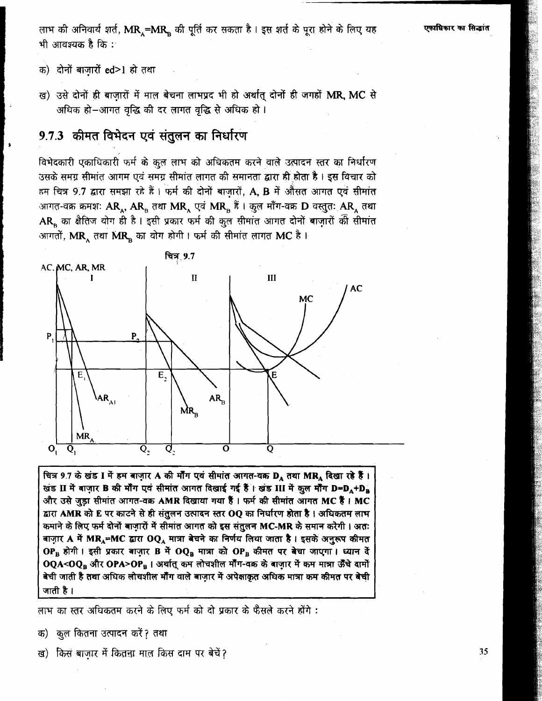लाभ की अनिवार्य शर्त, MR,=MR, की पूर्ति कर सकता है। इस शर्त के पूरा होने के लिए यह भी आवश्यक है कि :-

- क) दोनों बाजारों ed>1 हो तथा
- ख) उसे दोनों ही बाज़ारों में माल बेचना लाभप्रद भी हो अर्थात् दोनों ही जगहों MR, MC से अधिक हो-आगत वृद्धि की दर लागत वृद्धि से अधिक हो।

## 9.7.3 कीमत विभेदन एवं संतुलन का निर्धारण

विभेदकारी एकाधिकारी फर्म के कूल लाभ को अधिकतम करने वाले उत्पादन स्तर का निर्धारण उसके समग्र सीमांत आगम एवं समग्र सीमांत लागत की समानता द्वारा ही होता है। इस विचार को हम चित्र 9.7 द्वारा समझा रहे हैं। फर्म की दोनों बाजारों, A, B में औसत आगत एवं सीमांत आगत-वक्र क्रमशः  $\bf{AR}_A, \bf{AR}_B$  तथा  $\bf{MR}_A$  एवं  $\bf{MR}_B$  हैं। क़ुल माँग-वक्र  $\bf{D}$  वस्तुतः  $\bf{AR}_A$  तथा AR का क्षैतिज योग ही है। इसी प्रकार फर्म की कुल सीमांत आगत दोनों बाज़ारों की सीमांत आगतों, MR, तथा MR, का योग होगी। फर्म की सीमांत लागत MC है।



चित्र 9.7 के खंड I में हम बाज़ार A की मौंग एवं सीमांत आगत-वक्र DA तथा MRA दिखा रहे हैं। खंड II में बाज़ार B की माँग एवं सीमांत आगत दिखाई गई हैं। खंड III में कुल माँग D=D<sub>4</sub>+Da और उसे जुड़ा सीमांत आगत-वक्र AMR दिखाया गया हैं। फर्म की सीमांत आगत MC हैं। MC द्वारा AMR को E पर काटने से ही संतुलन उत्पादन स्तर OQ का निर्धारण होता है। अधिकतम लाभ कमाने के लिए फर्म दोनों बाज़ारों में सीमांत आगत को इस संतुलन MC-MR के समान करेगी। अतः बाज़ार A में MRA=MC द्वारा OQA मात्रा बेचने का निर्णय लिया जाता है। इसके अनुरूप कीमत OPB होगी। इसी प्रकार बाज़ार B में OQB मात्रा को OPB कीमत पर बेचा जाएगा। ध्यान दें OQA<OQ<sub>B</sub> और OPA>OP<sub>B</sub> । अर्थात् कम लोचशील मॉॅंग-वक्र के बाज़ार में कम मात्रा ऊँँचे दामों बेची जाती है तथा अधिक लोचशील मॉॅंग वाले बाज़ार में अपेक्षाकृत अधिक मात्रा कम कीमत पर बेची जाती है ।

लाभ का स्तर अधिकतम करने के लिए फर्म को दो प्रकार के फैसले करने होंगे :

- क) कुल कितना उत्पादन करें ? तथा
- ख) किस बाजार में कितना माल किस दाम पर बेचें?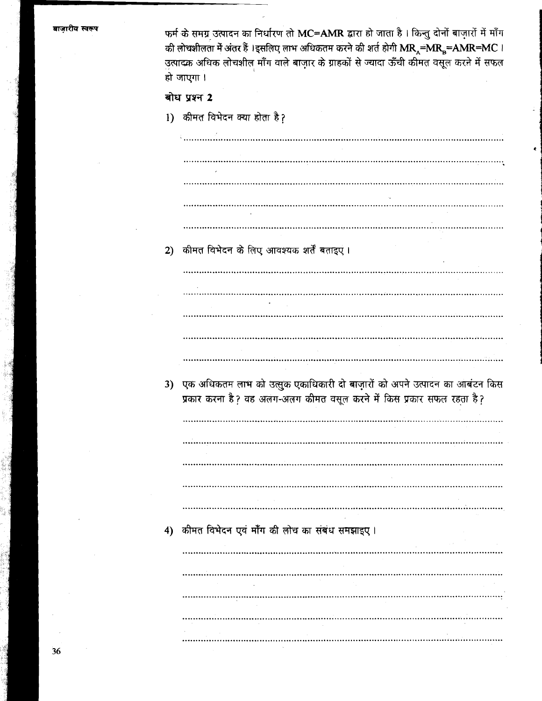बाजारीय स्वरूप

फर्म के समग्र उत्पादन का निर्धारण तो MC=AMR द्वारा हो जाता है। किन्तु दोनों बाज़ारों में माँग की लोचशीलता में अंतर हैं ।इसलिए लाभ अधिकतम करने की शर्त होगी MR =MR =AMR=MC । उत्पादक अधिक लोचशील माँग वाले बाज़ार के ग्राहकों से ज्यादा ऊँची कीमत वसूल करने में सफल हो जाएगा ।

### बोध प्रश्न 2

1) कीमत विभेदन क्या होता है?

कीमत विभेदन के लिए आवश्यक शर्तें बताइए ।  $2)$ 3) एक अधिकतम लाभ को उत्सुक एकाधिकारी दो बाज़ारों को अपने उत्पादन का आबंटन किस प्रकार करना है? वह अलंग-अलंग कीमत वसूल करने में किस प्रकार सफल रहता है? 4) कीमत विभेदन एवं माँग की लोच का संबंध समझाइए।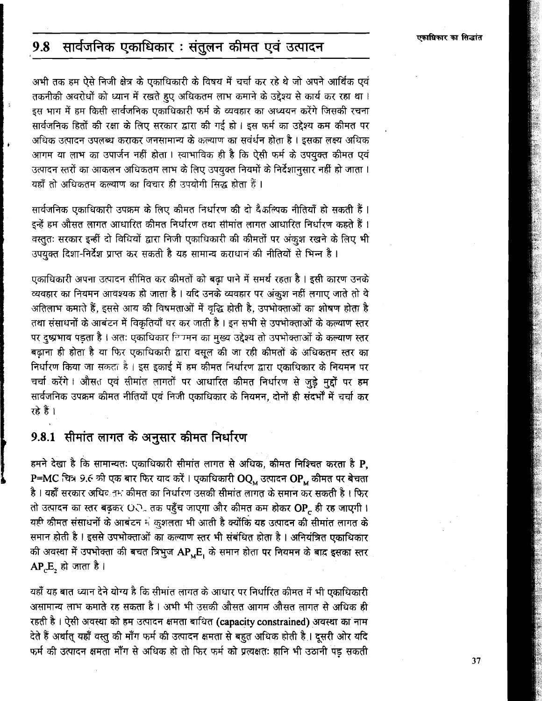#### सार्वजनिक एकाधिकार : संतुलन कीमत एवं उत्पादन 9.8

अभी तक हम ऐसे निजी क्षेत्र के एकाधिकारी के विषय में चर्चा कर रहे थे जो अपने आर्थिक एवं तकनीकी अवरोधों को ध्यान में रखते हुए अधिकतम लाभ कमाने के उद्देश्य से कार्य कर रहा था। इस भाग में हम किसी सार्वजनिक एकाधिकारी फर्म के व्यवहार का अध्ययन करेंगे जिसकी रचना सार्वजनिक हितों की रक्षा के लिए सरकार द्वारा की गई हो। इस फर्म का उद्देश्य कम कीमत पर अधिक उत्पादन उपलब्ध कराकर जनसामान्य के कल्याण का सवंर्धन होता है । इसका लक्ष्य अधिक आगम या लाभ का उपार्जन नहीं होता। स्वाभाविक ही है कि ऐसी फर्म के उपयुक्त कीमत एवं उत्पादन स्तरों का आकलन अधिकतम लाभ के लिए उपयुक्त नियमों के निर्देशानुसार नहीं हो जाता । यहाँ तो अधिकतम कल्याण का विचार ही उपयोगी सिद्ध होता हैं ।

सार्वजनिक एकाधिकारी उपक्रम के लिए कीमत निर्धारण की दो दैकल्पिक नीतियाँ हो सकती हैं। इन्हें हम औसत लागत आधारित कीमत निर्धारण तथा सीमांत लागत आधारित निर्धारण कहते हैं। वस्तुतः सरकार इन्हीं दो विधियों द्वारा निजी एकाधिकारी की कीमतों पर अंकृश रखने के लिए भी उपयुक्त दिशा-निर्देश प्राप्त कर सकती है यह सामान्य कराधान की नीतियों से भिन्न है।

एकाधिकारी अपना उत्पादन सीमित कर कीमतों को बढ़ा पाने में समर्थ रहता है । इसी कारण उनके व्यवहार का नियमन आवश्यक हो जाता है। यदि उनके व्यवहार पर अंकृश नहीं लगाए जाते तो वे अतिलाभ कमाते हैं, इससे आय की विषमताओं में वृद्धि होती है, उपभोक्ताओं का शोषण होता है तथा संसाधनों के आबंटन में विकृतियाँ घर कर जाती है। इन सभी से उपभोक्ताओं के कल्याण स्तर पर दुष्प्रभाव पड़ता है। अतः एकाधिकार निषमन का मुख्य उद्देश्य तो उपभोक्ताओं के कल्याण स्तर बढ़ाना ही होता है या फिर एकाधिकारी द्वारा वसूल की जा रही कीमतों के अधिकतम स्तर का निर्धारण किया जा सकता है। इस इकाई में हम कीमत निर्धारण द्वारा एकाधिकार के नियमन पर चर्चा करेंगे। औसत एवं सीमांत लागतों पर आधारित कीमत निर्धारण से जुड़े मुद्दों पर हम सार्वजनिक उपक्रम कीमत नीतियों एवं निजी एकाधिकार के नियमन, दोनों ही संदर्भों में चर्चा कर रहे हैं ।

## 9.8.1 सीमांत लागत के अनुसार कीमत निर्धारण

हमने देखा है कि सामान्यतः एकाधिकारी सीमांत लागत से अधिक, कीमत निश्चित करता है P, P=MC चित्र 9.6 की एक बार फिर याद करें। एकाधिकारी OQ, उत्पादन OP, कीमत पर बेचता है। यहाँ सरकार अधिव<sub>ी</sub>म कीमत का निर्धारण उसकी सीमांत लागत के समान कर सकती है। फिर तो उत्पादन का स्तर बढ़कर O. तक पहुँच जाएगा और कीमत कम होकर OP ही रह जाएगी। यही कीमत संसाधनों के आबंटन में कुशलता भी आती है क्योंकि यह उत्पादन की सीमांत लागत के समान होती है । इससे उपभोक्ताओं का कल्याण स्तर भी संबंधित होता है । अनियंत्रित एकाधिकार की अवस्था में उपभोक्ता की बचत त्रिभुज AP, E, के समान होता पर नियमन के बाद इसका स्तर  $AP.E$ , हो जाता है।

यहाँ यह बात ध्यान देने योग्य है कि सीमांत लागत के आधार पर निर्धारित कीमत में भी एकाधिकारी असामान्य लाभ कमाते रह सकता है । अभी भी उसकी औसत आगम औसत लागत से अधिक ही रहती है। ऐसी अवस्था को हम उत्पादन क्षमता बाधित (capacity constrained) अवस्था का नाम देते हैं अर्थात् यहाँ वस्तु की माँग फर्म की उत्पादन क्षमता से बहुत अधिक होती है । दूसरी ओर यदि फर्म की उत्पादन क्षमता माँग से अधिक हो तो फिर फर्म को प्रत्यक्षतः हानि भी उठानी पड़ सकती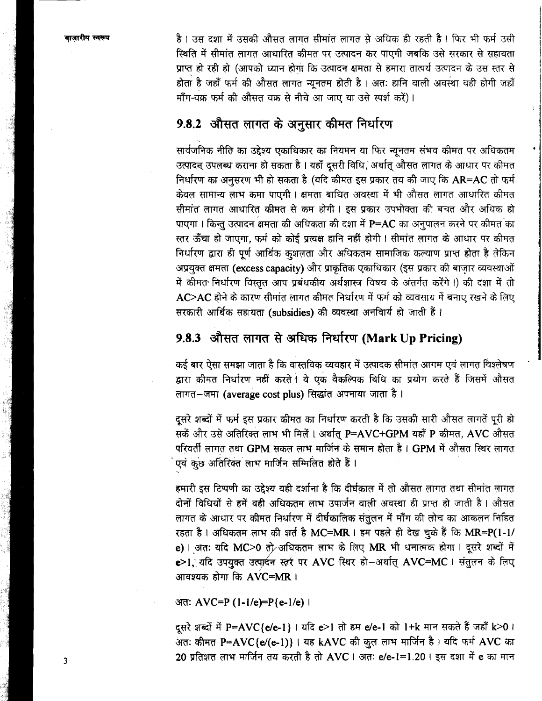है। उस दशा में उसकी औसत लागत सीमांत लागत से अधिक ही रहती है। फिर भी फर्म उसी स्थिति में सीमांत लागत आधारित कीमत पर उत्पादन कर पाएगी जबकि उसे सरकार से सहायता प्राप्त हो रही हो (आपको ध्यान होगा कि उत्पादन क्षमता से हमारा तात्पर्य उत्पादन के उस स्तर से होता है जहाँ फर्म की औसत लागत न्यूनतम होती है। अतः हानि वाली अवस्था वही होगी जहाँ माँग-वक्र फर्म की औसत वक्र से नीचे आ जाए या उसे स्पर्श करें)।

## 9.8.2 औसत लागत के अनुसार कीमत निर्धारण

सार्वजनिक नीति का उद्देश्य एकाधिकार का नियमन या फिर न्यूनतम संभव कीमत पर अधिकतम उत्पादन् उपलब्ध कराना हो सकता है । यहाँ दूसरी विधि, अर्थात् औसत लागत के आधार पर कीमत निर्धारण का अनुसरण भी हो सकता है (यदि कीमत इस प्रकार तय की जाए कि AR=AC तो फर्म केवल सामान्य लाभ कमा पाएगी। क्षमता बाधित अवस्था में भी औसत लागत आधारित कीमत सीमांत लागत आधारित कीमत से कम होगी। इस प्रकार उपभोक्ता की बचत और अधिक हो पाएगा। किन्तु उत्पादन क्षमता की अधिकता की दशा में P=AC का अनुपालन करने पर कीमत का स्तर ऊँचा हो जाएगा, फर्म को कोई प्रत्यक्ष हानि नहीं होगी। सीमांत लागत के आधार पर कीमत निर्धारण द्वारा ही पूर्ण आर्थिक कुशलता और अधिकतम सामाजिक कल्याण प्राप्त होता है लेकिन अप्रयुक्त क्षमता (excess capacity) और प्राकृतिक एकाधिकार (इस प्रकार की बाज़ार व्यवस्थाओं में कीमत निर्धारण विस्तृत आप प्रबंधकीय अर्थशास्त्र विषय के अंतर्गत करेंगें।) की दशा में तो  $AC$ >AC होने के कारण सीमांत लागत कीमत निर्धारण में फर्म को व्यवसाय में बनाए रखने के लिए सरकारी आर्थिक सहायता (subsidies) की व्यवस्था अनवार्य हो जाती हैं।

## 9.8.3 औसत लागत से अधिक निर्धारण (Mark Up Pricing)

कई बार ऐसा समझा जाता है कि वास्तविक व्यवहार में उत्पादक सीमांत आगम एवं लागत विश्लेषण द्वारा कीमत निर्धारण नहीं करते । वे एक वैकल्पिक विधि का प्रयोग करते हैं जिसमें औसत लागत-जमा (average cost plus) सिद्धांत अपनाया जाता है।

दूसरे शब्दों में फर्म इस प्रकार कीमत का निर्धारण करती है कि उसकी सारी औसत लागतें पूरी हो सकें और उसे अतिरिक्त लाभ भी मिलें। अर्थात् P=AVC+GPM यहाँ P कीमत, AVC औसत परिवर्ती लागत तथा GPM सकल लाभ मार्जिन के समान होता है। GPM में औसत स्थिर लागत एवं कुछ अतिरिक्त लाभ मार्जिन सम्मिलित होते हैं।

हमारी इस टिप्पणी का उद्देश्य यही दर्शाना है कि दीर्घकाल में तो औसत लागत तथा सीमांत लागत दोनों विधियों से हमें वही अधिकतम लाभ उपार्जन वाली अवस्था ही प्राप्त हो जाती है। औसत लागत के आधार पर कीमत निर्धारण में दीर्घकालिक संतुलन में माँग की लोच का आकलन निहित रहता है। अधिकतम लाभ की शर्त है MC=MR । हम पहले ही देख चुके हैं कि MR=P(1-1/ e) । अतः यदि MC>0 तो अधिकतम लाभ के लिए MR भी धनात्मक होगा । दूसरे शब्दों में e>1, यदि उपयुक्त उत्पादन स्तरं पर AVC स्थिर हो-अर्थात् AVC=MC । संतुलन के लिए आवश्यक होगा कि  $AVC = MR$ ।

अतः AVC=P (1-1/e)=P{e-1/e) ।

दूसरे शब्दों में P=AVC{e/e-1} । यदि e>1 तो हम e/e-1 को 1+k मान सकते हैं जहाँ k>0 । अतः कीमत P=AVC{e/(e-1)} । यह kAVC की कुल लाभ मार्जिन है। यदि फर्म AVC का 20 प्रतिशत लाभ मार्जिन तय करती है तो AVC । अतः e/e-1=1.20 । इस दशा में e का मान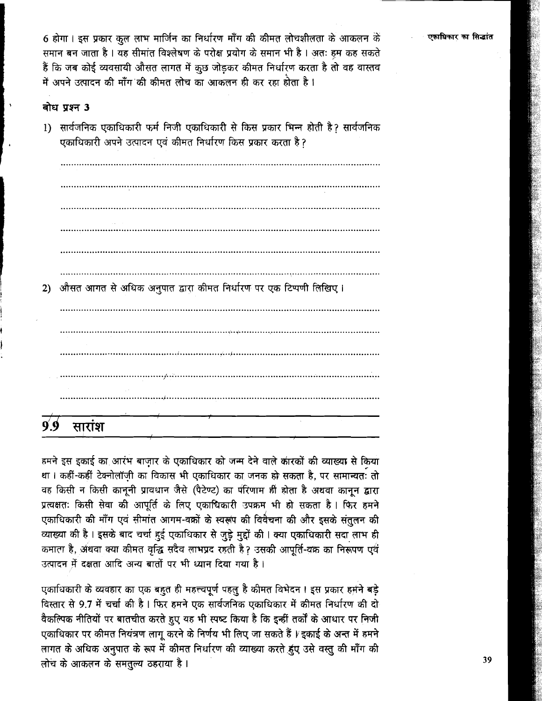एकाधिकार का सिद्धांत

6 होगा। इस प्रकार कुल लाभ मार्जिन का निर्धारण माँग की कीमत लोचशीलता के आकलन के समान बन जाता है। यह सीमांत विश्लेषण के परोक्ष प्रयोग के समान भी है। अतः हम कह सकते हैं कि जब कोई व्यवसायी औसत लागत में कुछ जोड़कर कीमत निर्धारण करता है तो वह वास्तव में अपने उत्पादन की माँग की कीमत लोच का आकलन ही कर रहा होता है ।

### बोध प्रश्न 3

1) सार्वजनिक एकाधिकारी फर्म निजी एकाधिकारी से किस प्रकार भिन्न होती है? सार्वजनिक एकाधिकारी अपने उत्पादन एवं कीमत निर्धारण किस प्रकार करता है?

2) औसत आगत से अधिक अनुपात द्वारा कीमत निर्धारण पर एक टिप्पणी लिखिए। सारांश 9 9

हमने इस इकाई का आरंभ बाजार के एकाधिकार को जन्म देने वाले कारकों की व्याख्या से किया था। कहीं-कहीं टेक्नोलॉज़ी का विकास भी एकाधिकार का जनक हो सकता है, पर सामान्यतः तो वह किसी न किसी कानूनी प्रावधान जैसे (पैटेण्ट) का परिणाम ही होता है अथवा कानून द्वारा प्रत्यक्षतः किसी सेवा की आपूर्ति के लिए एकाधिकारी उपक्रम भी हो सकता है। फिर हमने एकाधिकारी की माँग एवं सीमांत आगम-वक्रों के स्वरूप की विवैचना की और इसके संतुलन की व्याख्या की है। इसके बाद चर्चा हुई एकाधिकार से जुड़े मुद्दों की। क्या एकाधिकारी सदा लाभ ही कमाला है, अंथवा क्या कीमत वृद्धि सदैव लाभप्रद रहती है? उसकी आपूर्ति-वक्र का निरूपण एवं उत्पादन में दक्षता आदि अन्य बातों पर भी ध्यान दिया गया है।

एकाधिकारी के व्यवहार का एक बहुत ही महत्त्वपूर्ण पहलु है कीमत विभेदन। इस प्रकार हमने बड़े विस्तार से 9.7 में चर्चा की है। फिर हमने एक सार्वजनिक एकाधिकार में कीमत निर्धारण की दो वैकल्पिक नीतियों पर बातचीत करते हुए यह भी स्पष्ट किया है कि इन्हीं तर्कों के आधार पर निजी एकाधिकार पर कीमत नियंत्रण लागू करने के निर्णय भी लिए जा सकते हैं । इकाई के अन्त में हमने लागत के अधिक अनुपात के रूप में कीमत निर्धारण की व्याख्या करते हुए उसे वस्तु की माँग की लोच के आकलन के समतुल्य ठहराया है।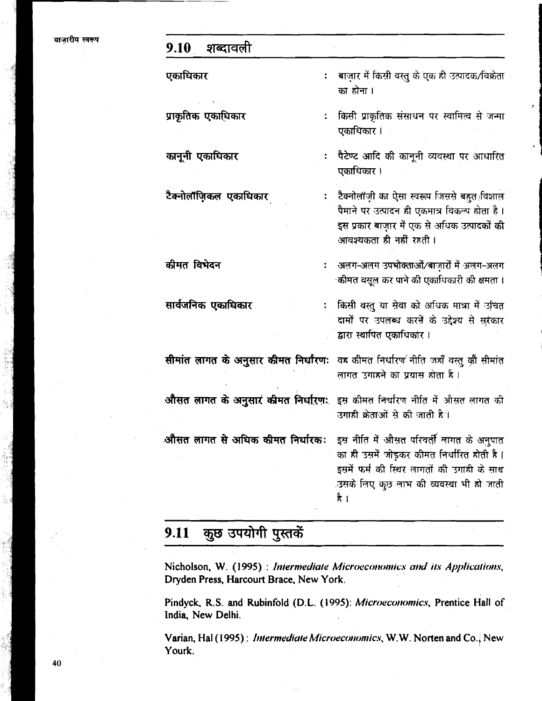#### शब्दावली 9.10

एकाधिकार

प्राकृतिक एकाधिकार

कानूनी एकाधिकार

टैक्नोलॉजिकल एकाधिकार

कीमत विभेदन

सार्वजनिक एकाधिकार

: बाज़ार में किसी वस्तु के एक ही उत्पादक/विक्रेता का होना ।

किसी प्राकृतिक संसाधन पर स्वामित्व से जन्मा एकाधिकार ।

पैटेण्ट आदि की कानूनी व्यवस्था पर आधारित एकाधिकार ।

टैक्नोलॉज़ी का ऐसा स्वरूप जिससे बहुत विशाल  $\ddot{\cdot}$ पैमाने पर उत्पादन ही एकमात्र विकल्प होता है। इस प्रकार बाजार में एक से अधिक उत्पादकों की आवश्यकता ही नहीं रहती।

अलग-अलग उपभोक्ताओं/बाज़ारों में अलग-अलग ्कीमत वसुल कर पाने की एकाधिकारी की क्षमता ।

किसी वस्तु या सेवा को अधिक मात्रा में उचित  $\ddot{\cdot}$ दामों पर उपलब्ध करने के उद्देश्य से सरकार द्वारा स्थापित एकाधिकार।

सीमांत लागत के अनुसार कीमत निर्धारणः वह कीमत निर्धारण नीति जहाँ वस्तु की सीमांत लागत उगाहने का प्रयास होता है।

इस कीमत निर्धारण नीति में औसत लागत की औसत लागत के अनुसार कीमत निर्धारण: उगाही क्रेताओं से की जाती है $\overline{4}$ 

इस नीति में औसत परिवर्ती लागत के अनुपात औसत लागत से अधिक कीमत निर्धारकः का ही उसमें जोड़कर कीमत निर्धारित होती है। इसमें फर्म की स्थिर लागतों की उगाही के साथ उसके लिए कुछ लाभ की व्यवस्था भी हो जाती है ।

#### कुछ उपयोगी पुस्तकें 9.11

Nicholson, W. (1995) : Intermediate Microeconomics and its Applications, Dryden Press, Harcourt Brace, New York.

Pindyck, R.S. and Rubinfold (D.L. (1995): Microeconomics, Prentice Hall of India, New Delhi.

Varian, Hal (1995): Intermediate Microeconomics, W.W. Norten and Co., New Yourk.